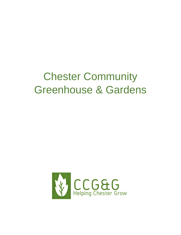# Chester Community Greenhouse & Gardens

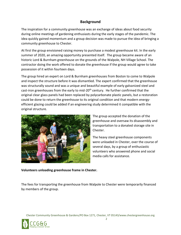## **Background**

The inspiration for a community greenhouse was an exchange of ideas about food security during online meetings of gardening enthusiasts during the early stages of the pandemic. The idea quickly gained momentum and a group decision was made to pursue the idea of bringing a community greenhouse to Chester.

At first the group envisioned raising money to purchase a modest greenhouse kit. In the early summer of 2020, an amazing opportunity presented itself. The group became aware of an historic Lord & Burnham greenhouse on the grounds of the Walpole, NH Village School. The contractor doing the work offered to donate the greenhouse if the group would agree to take possession of it within fourteen days.

The group hired an expert on Lord & Burnham greenhouses from Boston to come to Walpole and inspect the structure before it was dismantled. The expert confirmed that the greenhouse was structurally sound and was a unique and beautiful example of early galvanized steel and cast-iron greenhouses from the early to mid-20<sup>th</sup> century. He further confirmed that the original clear glass panels had been replaced by polycarbonate plastic panels, but a restoration could be done to return the greenhouse to its original condition and that modern energyefficient glazing could be added if an engineering study determined it compatible with the original structure.



The group accepted the donation of the greenhouse and oversaw its disassembly and transportation to a donated storage site in Chester.

The heavy steel greenhouse components were unloaded in Chester, over the course of several days, by a group of enthusiastic volunteers who answered phone and social media calls for assistance.

**Volunteers unloading greenhouse frame in Chester.**

The fees for transporting the greenhouse from Walpole to Chester were temporarily financed by members of the group.

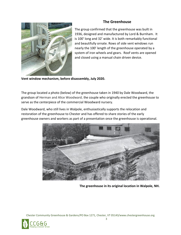# **The Greenhouse**



The group confirmed that the greenhouse was built in 1936, designed and manufactured by Lord & Burnham. It is 100' long and 32' wide. It is both remarkably functional and beautifully ornate. Rows of side vent windows run nearly the 100' length of the greenhouse operated by a system of iron wheels and gears. Roof vents are opened and closed using a manual chain driven device.

**Vent window mechanism, before disassembly, July 2020.**

The group located a photo (below) of the greenhouse taken in 1940 by Dale Woodward, the grandson of Herman and Alice Woodward, the couple who originally erected the greenhouse to serve as the centerpiece of the commercial Woodward nursery.

Dale Woodward, who still lives in Walpole, enthusiastically supports the relocation and restoration of the greenhouse to Chester and has offered to share stories of the early greenhouse owners and workers as part of a presentation once the greenhouse is operational.



**The greenhouse in its original location in Walpole, NH.**

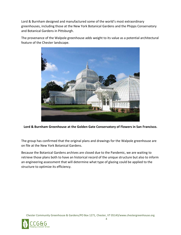Lord & Burnham designed and manufactured some of the world's most extraordinary greenhouses, including those at the New York Botanical Gardens and the Phipps Conservatory and Botanical Gardens in Pittsburgh.

The provenance of the Walpole greenhouse adds weight to its value as a potential architectural feature of the Chester landscape.



**Lord & Burnham Greenhouse at the Golden Gate Conservatory of Flowers in San Francisco.**

The group has confirmed that the original plans and drawings for the Walpole greenhouse are on file at the New York Botanical Gardens.

Because the Botanical Gardens archives are closed due to the Pandemic, we are waiting to retrieve those plans both to have an historical record of the unique structure but also to inform an engineering assessment that will determine what type of glazing could be applied to the structure to optimize its efficiency.

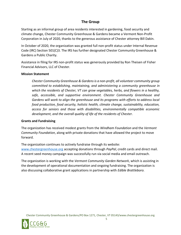# **The Group**

Starting as an informal group of area residents interested in gardening, food security and climate change, Chester Community Greenhouse & Gardens became a Vermont Non-Profit Corporation in July of 2020, thanks to the generous assistance of Chester attorney Bill Dakin.

In October of 2020, the organization was granted full non-profit status under Internal Revenue Code (IRC) Section 501(C)3. The IRS has further designated Chester Community Greenhouse & Gardens a Public Charity.

Assistance in filing for IRS non-profit status was generously provided by Ron Theisen of Fisher Financial Advisors, LLC of Chester.

#### **Mission Statement**

*Chester Community Greenhouse & Gardens is a non-profit, all volunteer community group committed to establishing, maintaining, and administering a community greenhouse in which the residents of Chester, VT can grow vegetables, herbs, and flowers in a healthy, safe, accessible, and supportive environment. Chester Community Greenhouse and Gardens will work to align the greenhouse and its programs with efforts to address local food production, food security, holistic health, climate change, sustainability, education, access for seniors and those with disabilities, environmentally compatible economic development, and the overall quality of life of the residents of Chester.*

#### **Grants and Fundraising**

The organization has received modest grants from the *Windham Foundation* and the *Vermont Community Foundation*, along with private donations that have allowed the project to move forward.

The organization continues to actively fundraise through its website: [www.chestergreenhouse.org](http://www.chestergreenhouse.org/) accepting donations through *PayPal*, credit cards and direct mail. A recent seed money campaign was successfully run via social media and email outreach.

The organization is working with the *Vermont Community Garden Network*, which is assisting in the development of operational documentation and ongoing fundraising. The organization is also discussing collaborative grant applications in partnership with *Edible Brattleboro.*

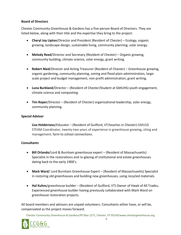#### **Board of Directors**

Chester Community Greenhouse & Gardens has a five-person Board of Directors. They are listed below, along with their title and the expertise they bring to the project:

- **Cheryl Joy Lipton**/Director and President (Resident of Chester) Ecology, organic growing, landscape design, sustainable living, community planning, solar energy.
- **Melody Reed**/Director and Secretary (Resident of Chester) Organic growing, community building, climate science, solar energy, grant writing.
- **Robert Nied**/Director and Acting Treasurer (Resident of Chester) Greenhouse growing, organic gardening, community planning, zoning and flood plain administration, largescale project and budget management, non-profit administration, grant writing.
- **Luna Burkland**/Director (Resident of Chester/Student at GMUHS) youth engagement, climate science and composting.
- **Tim Roper**/Director (Resident of Chester) organizational leadership, solar energy, community planning.

#### **Special Advisor**

**Lisa Holderness**/Educator – (Resident of Guilford, VT/teaches in Chester) GMUSD STEAM Coordinator, twenty-two years of experience in greenhouse growing, siting and management, farm to school connections.

#### **Consultants**

- **Bill Orlando**/Lord & Burnham greenhouse expert (Resident of Massachusetts) Specialist in the restorations and re-glazing of institutional and estate greenhouses dating back to the early 1900's.
- **Mark Ward**/ Lord Burnham Greenhouse Expert (Resident of Massachusetts) Specialist in restoring old greenhouses and building new greenhouses, using recycled materials.
- **Hal Kuhns**/greenhouse builder (Resident of Guilford, VT) Owner of Hawk of All Trades, Experienced greenhouse builder having previously collaborated with Mark Ward on greenhouse restoration projects.

All board members and advisors are unpaid volunteers. Consultants either have, or will be, compensated as the project moves forward.

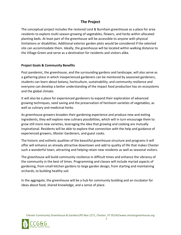# **The Project**

The conceptual project includes the restored Lord & Burnham greenhouse as a place for area residents to explore multi-season growing of vegetables, flowers, and herbs within allocated planting beds. At least part of the greenhouse will be accessible to anyone with physical limitations or disabilities. Additional exterior garden plots would be considered if the selected site can accommodate them. Ideally, the greenhouse will be located within walking distance to the Village Green and serve as a destination for residents and visitors alike.

#### **Project Goals & Community Benefits**

Post pandemic, the greenhouse, and the surrounding gardens and landscape, will also serve as a gathering place in which inexperienced gardeners can be mentored by seasoned gardeners, students can learn about botany, horticulture, sustainability, and community resilience and everyone can develop a better understanding of the impact food production has on ecosystems and the global climate.

It will also be a place for experienced gardeners to expand their exploration of advanced growing techniques, seed saving and the preservation of heirloom varieties of vegetables, as well as culinary and medicinal herbs.

As greenhouse growers broaden their gardening experience and produce new and exiting ingredients, they will explore new culinary possibilities, which will in turn encourage them to grow still more new varieties, leveraging the idea that growing and cooking are mutually inspirational. Residents will be able to explore that connection with the help and guidance of experienced growers, Master Gardeners, and guest cooks.

The historic and esthetic qualities of the beautiful greenhouse structure and programs it will offer will enhance an already attractive downtown and add to quality of life that makes Chester such a wonderful town, attracting and helping retain new residents as well as seasonal visitors.

The greenhouse will build community resilience in difficult times and enhance the vibrancy of the community in the best of times. Programming and classes will include myriad aspects of gardening, from small kitchen gardens to large garden design, from starting and maintaining orchards, to building healthy soil.

In the aggregate, the greenhouse will be a hub for community building and an incubator for ideas about food, shared knowledge, and a sense of place.

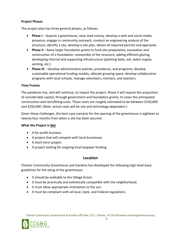#### **Project Phases**

The project plan has three general phases, as follows:

- **Phase I** Acquire a greenhouse, raise seed money, develop a web and social media presence, engage in community outreach, conduct an engineering analysis of the structure, identify a site, develop a site plan, obtain all required permits and approvals.
- **Phase II** Raise larger foundation grants to fund site preparation, excavation and construction of a foundation, reassembly of the structure, adding efficient glazing, developing internal and supporting infrastructure (planting beds, soil, water supply, venting, etc.)
- **Phase III** Develop administrative policies, procedures, and programs, develop sustainable operational funding models, allocate growing space, develop collaborative programs with local schools, manage volunteers, mentors, and teachers.

#### **Time Frames**

The pandemic has, and will continue, to impact the project. Phase II will require the acquisition of considerable capital, through government and foundation grants, to cover the anticipated construction and retrofitting costs. Those costs are roughly estimated to be between \$150,000 and \$250,000. (Note: actual costs will be site and technology dependent.)

Given those challenges, the best-case scenario for the opening of the greenhouse is eighteen to twenty-four months from when a site has been secured.

## **What the Project is Not**

- A for-profit business
- A project that will compete with local businesses
- A short-term project
- A project looking for ongoing local taxpayer funding

## **Location**

Chester Community Greenhouse and Gardens has developed the following high-level basic guidelines for the siting of the greenhouse:

- It should be walkable to the Village Green.
- It must be practically and esthetically compatible with the neighborhood.
- It must allow appropriate orientation to the sun.
- It must be compliant with all local, state, and Federal regulations.

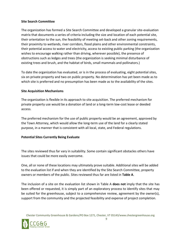#### **Site Search Committee**

The organization has formed a Site Search Committee and developed a granular site-evaluation matrix that documents a series of criteria including the size and location of each potential site, their orientation to the sun, the feasibility of meeting set-back and other zoning requirements, their proximity to wetlands, river corridors, flood plains and other environmental constraints, their potential access to water and electricity, access to existing public parking (the organization wishes to encourage walking rather than driving, wherever possible), the presence of obstructions such as ledges and trees (the organization is seeking minimal disturbance of existing trees and brush, and the habitat of birds, small mammals and pollinators.)

To date the organization has evaluated, or is in the process of evaluating, eight potential sites, six on private property and two on public property. No determination has yet been made as to which site is preferred and no presumption has been made as to the availability of the sites.

#### **Site Acquisition Mechanisms**

The organization is flexible in its approach to site acquisition. The preferred mechanism for private property use would be a donation of land or a long-term low-cost lease or deeded access.

The preferred mechanism for the use of public property would be an agreement, approved by the Town Attorney, which would allow the long-term use of the land for a clearly stated purpose, in a manner that is consistent with all local, state, and Federal regulations.

#### **Potential Sites Currently Being Evaluate**

The sites reviewed thus far vary in suitability. Some contain significant obstacles others have issues that could be more easily overcome.

One, all or none of these locations may ultimately prove suitable. Additional sites will be added to the evaluation list if and when they are identified by the Site Search Committee, property owners or members of the public. Sites reviewed thus far are listed in **Table A**.

The inclusion of a site on the evaluation list shown in Table A **does not** imply that the site has been offered or requested, it is simply part of an exploratory process to identify sites that may be suited for the greenhouse, subject to a comprehensive review, agreement by the owner(s), support from the community and the projected feasibility and expense of project completion.

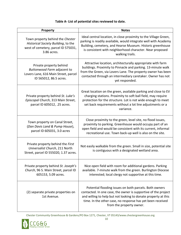#### **Table A- List of potential sites reviewed to date.**

| Property                                                                                                                      | <b>Notes</b>                                                                                                                                                                                                                                                                         |
|-------------------------------------------------------------------------------------------------------------------------------|--------------------------------------------------------------------------------------------------------------------------------------------------------------------------------------------------------------------------------------------------------------------------------------|
| Town property behind the Chester<br>Historical Society Building, to the<br>west of cemetery, parcel ID 575031,<br>3.86 acres. | Ideal central location, in close proximity to the Village Green,<br>parking is readily available, would integrate well with Academy<br>Building, cemetery, and Hearse Museum. Historic greenhouse<br>is consistent with neighborhood character. Near proposed<br>walking trails.     |
| Private property behind<br>Buttonwood Farm adjacent to<br>Lovers Lane, 616 Main Street, parcel<br>ID 565012, 86.5 acres.      | Attractive location, architecturally appropriate with farm<br>buildings. Proximity to Pinnacle and parking. 13-minute walk<br>from the Green, via Lovers Lane. The property owner has been<br>contacted through an intermediary caretaker. Owner has not<br>yet responded.           |
| Private property behind St. Luke's<br>Episcopal Church, 313 Main Street,<br>parcel ID 605012, .25 acres.                      | Great location on the green, available parking and close to EV<br>charging stations. Proximity to soft ball field, may require<br>protection for the structure. Lot is not wide enough to meet<br>set back requirements without a lot line adjustments or a<br>variance.             |
| Town property on Canal Street,<br>(Dan Davis Land & Pump House),<br>parcel ID 605031, 3.0 acres                               | Close proximity to the green, level site, no flood issues,<br>proximity to parking. Greenhouse would occupy part of an<br>open field and would be consistent with its current, informal<br>recreational use. Town back-up well is also on the site.                                  |
| Private property behind the First<br>Universalist Church, 211 North<br>Street, parcel ID 555020, 1.37 acres.                  | Not easily walkable from the green. Small in size, potential site<br>is contiguous with a designated wetland area.                                                                                                                                                                   |
| Private property behind St. Joseph's<br>Church, 96 S. Main Street, parcel ID<br>605153, 5.09 acres.                           | Nice open field with room for additional gardens. Parking<br>available. 7-minute walk from the green. Burlington Diocese<br>interested; local clergy not supportive at this time.                                                                                                    |
| (2) separate private properties on<br>1st Avenue.                                                                             | Potential flooding issues on both parcels. Both owners<br>contacted. In one case, the owner is supportive of the project<br>and willing to help but not looking to donate property at this<br>time. In the other case, no response has yet been received<br>from the property owner. |

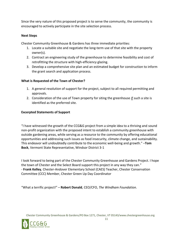Since the very nature of this proposed project is to serve the community, the community is encouraged to actively participate in the site selection process.

#### **Next Steps**

Chester Community Greenhouse & Gardens has three immediate priorities:

- 1. Locate a suitable site and negotiate the long-term use of that site with the property owner(s).
- 2. Contract an engineering study of the greenhouse to determine feasibility and cost of retrofitting the structure with high-efficiency glazing.
- 3. Develop a comprehensive site plan and an estimated budget for construction to inform the grant search and application process.

#### **What is Requested of the Town of Chester?**

- 1. A general resolution of support for the project, subject to all required permitting and approvals.
- 2. Consideration of the use of Town property for siting the greenhouse if such a site is identified as the preferred site.

#### **Excerpted Statements of Support**

"I have witnessed the growth of the CCG&G project from a simple idea to a thriving and sound non-profit organization with the proposed intent to establish a community greenhouse with outside gardening areas, while serving as a resource to the community by offering educational opportunities and addressing such issues as food insecurity, climate change, and sustainability. This endeavor will undoubtedly contribute to the economic well-being and growth." –**Tom Bock**, Vermont State Representative, Windsor District 3-1

I look forward to being part of the Chester Community Greenhouse and Gardens Project. I hope the town of Chester and the Select Board support this project in any way they can." - **Frank Kelley**, Chester-Andover Elementary School (CAES) Teacher, Chester Conservation Committee (CCC) Member, Chester Green Up Day Coordinator

"What a terrific project!" – **Robert Donald**, CEO/CFO, *The Windham Foundation*.



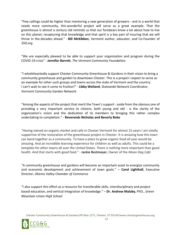"Few callings could be higher than mentoring a new generation of growers - and in a world that needs more community, this wonderful project will serve as a great example. That the greenhouse is almost a century old reminds us that our forebears knew a lot about how to live on this planet; recapturing that knowledge and that spirit is a key part of insuring that we will thrive in the decades ahead." - **Bill McKibben**, Vermont author, educator, and Co-Founder of *350.org*.

"We are especially pleased to be able to support your organization and program during the COVID-19 crisis" - **Jennifer Barrett**, *The Vermont Community Foundation*.

"I wholeheartedly support Chester Community Greenhouse & Gardens in their vision to bring a community greenhouse and garden to downtown Chester. This is a project I expect to serve as an example for other such groups and towns across the state of Vermont and the country. I can't wait to see it come to fruition!" - **Libby Weiland**, Statewide Network Coordinator, Vermont Community Garden Network

"Among the aspects of the project that merit the Town's support - aside from the obvious one of providing a very important service to citizens, both young and old - is the clarity of the organization's vision and the dedication of its members to bringing this rather complex undertaking to completion." - **Reverends Nicholas and Beverly Boke**

"Having owned an organic market and cafe in Chester Vermont for almost 15 years I am totally supportive of the restoration of the greenhouse project in Chester. It is amazing how this town can band together as a community. To have a place to grow organic food all year would be amazing. And an incredible learning experience for children as well as adults. This could be a template for other towns all over the United States. There is nothing more important than good health. And that starts with good food." - **Jackie Restmeyer**, Owner of the *Moon Dog Cafe*

"A community greenhouse and gardens will become an important asset to energize community and economic development and achievement of town goals." – **Carol Lighthall**, Executive Director, *Okemo Valley Chamber of Commerce*

"I also support this effort as a resource for transferable skills, interdisciplinary and project based education, and vertical integration of knowledge." – **Dr. Andrew Malaby**, PhD., *Green Mountain Union High School*

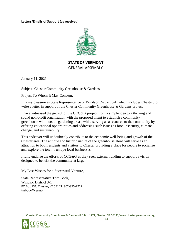**Letters/Emails of Support (as received)**



# **STATE OF VERMONT** GENERAL ASSEMBLY

January 11, 2021

Subject: Chester Community Greenhouse & Gardens

Project To Whom It May Concern,

It is my pleasure as State Representative of Windsor District 3-1, which includes Chester, to write a letter in support of the Chester Community Greenhouse & Gardens project.

I have witnessed the growth of the CCG&G project from a simple idea to a thriving and sound non-profit organization with the proposed intent to establish a community greenhouse with outside gardening areas, while serving as a resource to the community by offering educational opportunities and addressing such issues as food insecurity, climate change, and sustainability.

This endeavor will undoubtedly contribute to the economic well-being and growth of the Chester area. The antique and historic nature of the greenhouse alone will serve as an attraction to both residents and visitors to Chester providing a place for people to socialize and explore the town's unique local businesses.

I fully endorse the efforts of CCG&G as they seek external funding to support a vision designed to benefit the community at large.

My Best Wishes for a Successful Venture,

State Representative Tom Bock, Windsor District 3-1 PO Box 131, Chester, VT 05143 802-875-2222 tmbock@vermon

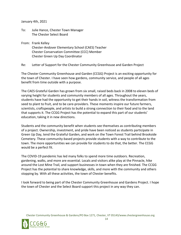January 4th, 2021

- To: Julie Hance, Chester Town Manager The Chester Select Board
- From: Frank Kelley
	- Chester-Andover Elementary School (CAES) Teacher Chester Conservation Committee (CCC) Member Chester Green Up Day Coordinator

Re: Letter of Support for the Chester Community Greenhouse and Garden Project

The Chester Community Greenhouse and Garden (CCGG) Project is an exciting opportunity for the town of Chester. I have seen how gardens, community service, and people of all ages benefit from time outside with a purpose.

The CAES Grateful Garden has grown from six small, raised beds back in 2008 to eleven beds of varying height for students and community members of all ages. Throughout the years, students have had the opportunity to get their hands in soil, witness the transformation from seed to plant to fruit, and to be care-providers. These moments inspire our future farmers, scientists, craftspeople, and artists to build a strong connection to their food and to the land that supports it. The CCGG Project has the potential to expand this part of our students' education, taking it in new directions.

Students and the community benefit when students see themselves as contributing members of a project. Ownership, investment, and pride have been noticed as students participate in Green Up Day, tend the Grateful Garden, and work on the Town Forest Trail behind Brookside Cemetery. These community-based projects provide students with a way to contribute to the town. The more opportunities we can provide for students to do that, the better. The CCGG would be a perfect fit.

The COVID-19 pandemic has led many folks to spend more time outdoors. Recreation, gardening, walks, and more are essential. Locals and visitors alike play at the Pinnacle, hike around the Lost Mine Trail, and support businesses in town when they are finished. The CCGG Project has the potential to share knowledge, skills, and more with the community and others stopping by. With all these activities, the town of Chester benefits.

I look forward to being part of the Chester Community Greenhouse and Gardens Project. I hope the town of Chester and the Select Board support this project in any way they can.



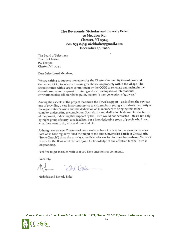The Reverends Nicholas and Beverly Boke 50 Meadow Rd. Chester, VT 05143 802-875-8483; nickboke@gmail.com December 30, 2020

The Board of Selectmen Town of Chester PO Box 370 Chester, VT 05143

Dear Selectboard Members,

We are writing to support the request by the Chester Community Greenhouse and Gardens (CCGG) to locate a historic greenhouse on property within the village. The request comes with a larger commitment by the CCGG to renovate and maintain the Greenhouse, as well as provide training and mentorships to, as international environmentalist Bill McKibben put it, mentor "a new generation of growers."

Among the aspects of the project that merit the Town's support—aside from the obvious one of providing a very important service to citizens, both young and old—is the clarity of the organization's vision and the dedication of its members to bringing this rather complex undertaking to completion. Such clarity and dedication bode well for the future of the project, indicating that support by the Town would not be wasted-this is not a flyby-night group of starry-eyed idealists, but a knowledgeable group of people who know what they want to do, why, and how to do it.

Although we are new Chester residents, we have been involved in the town for decades. Both of us have regularly filled the pulpit of the First Universalist Parish of Chester (the "Stone Church") since the early '90s, and Nicholas worked for the Chester-based Vermont Center for the Book until the late '90s. Our knowledge of and affection for the Town is longstanding.

Feel free to get in touch with us if you have questions or comments.

Sincerely,

BM Bole

Nicholas and Beverly Boke

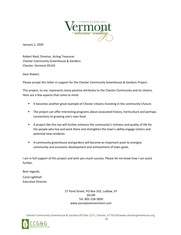

January 2, 2020

Robert Nied, Director, Acting Treasurer Chester Community Greenhouse & Gardens Chester, Vermont 05143

Dear Robert,

Please accept this letter in support for the Chester Community Greenhouse & Gardens Project.

This project, to me, represents many positive attributes to the Chester Community and its citizens. Here are a few aspects that come to mind:

- It becomes another great example of Chester citizens investing in the community'sfuture.
- **•** The project can offer interesting programs about associated history, horticulture and perhaps connections to growing one's own food.
- A project like this too will further enhance the community's richness and quality of life for the people who live and work there and strengthen the town's ability engage visitors and potential new residents.
- A community greenhouse and gardens will become an important asset to energize community and economic development and achievement of town goals.

I am in full support of this project and wish you much success. Please let me know how I can assist further.

Best regards, Carol Lighthall Executive Director

> 57 Pond Street, PO Box 333, Ludlow, VT 05149 Tel. 802-228-5830 [www.yourplaceinvermont.com](http://www.yourplaceinvermont.com/)

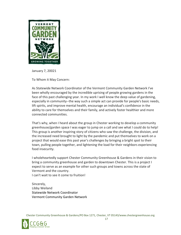

January 7, 20021

To Whom it May Concern:

As Statewide Network Coordinator of the Vermont Community Garden Network I've been wholly encouraged by the incredible uprising of people growing gardens in the face of this past challenging year. In my work I well know the deep value of gardening, especially in community--the way such a simple act can provide for people's basic needs, lift spirits, and improve mental health, encourage an individual's confidence in the ability to care for themselves and their family, and actively foster healthier and more connected communities.

That's why, when I heard about the group in Chester working to develop a community greenhouse/garden space I was eager to jump on a call and see what I could do to help! This group is another inspiring story of citizens who saw the challenge, the division, and the increased need brought to light by the pandemic and put themselves to work on a project that would ease this past year's challenges by bringing a bright spot to their town, pulling people together, and lightening the load for their neighbors experiencing food insecurity.

I wholeheartedly support Chester Community Greenhouse & Gardens in their vision to bring a community greenhouse and garden to downtown Chester. This is a project I expect to serve as an example for other such groups and towns across the state of Vermont and the country.

I can't wait to see it come to fruition!

Sincerely, Libby Weiland Statewide Network Coordinator Vermont Community Garden Network

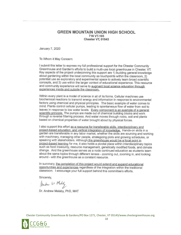#### **GREEN MOUNTAIN UNION HIGH SCHOOL** 716 VT-103 Chester VT, 01543

January 7, 2020

#### To Whom it May Concern:

I submit this letter to express my full professional support for the Chester Community Greenhouse and Garden's efforts to build a multi-use local greenhouse in Chester, VT. Key aspects of the project underpinning this support are 1) building general knowledge about gardening within the local community as touchpoints within the classroom. 2) potential use as exploratory and experimental space to actively learn broad scientific concepts, and 3) use within the larger context of educational experience. This resource and community experience will serve to augment local science education through experiences inside and outside the classroom.

Within every plant is a model of science in all of its forms. Cellular machines use biochemical reactions to transmit energy and information in response to environmental factors using chemical and physical principles. The basic example of water comes to mind. Plants control cellular pumps, leading to spontaneous flow of water from soil to leaves in response to low water levels. Every component is an example of a general scientific principle. The pumps are made out of chemical building blocks and work through a reverse filtering process. And water moves through rocks, soil and plants based on chemical properties of water brought about by physical forces.

I also support this effort as a resource for transferable skills, interdisciplinary and project-based education, and vertical integration of knowledge. Hands-on skills in a garden are transferable in any labor market, whether the skills are sourcing and working with machinery, managing other people, strategizing plots and growing schedules, or speaking with stakeholders. Although the greenhouse would be a focal point in project-based learning for me, it also holds a pivotal place within interdisciplinary topics such as food insecurity, resource management, genetically modified foods, and climate change. And the greenhouse serves as a node continued education as students learn about the same topics through different lenses - zooming out, zooming in, and looking around - with the greenhouse as a constant resource.

In summary, the completion of this project would extend and expand educational opportunities and experiences regardless of the integration within the traditional classroom. I encourage your full support behind this committee's efforts.

Sincerely,

Juden L' Mely

Dr. Andrew Malaby, PhD, MAT